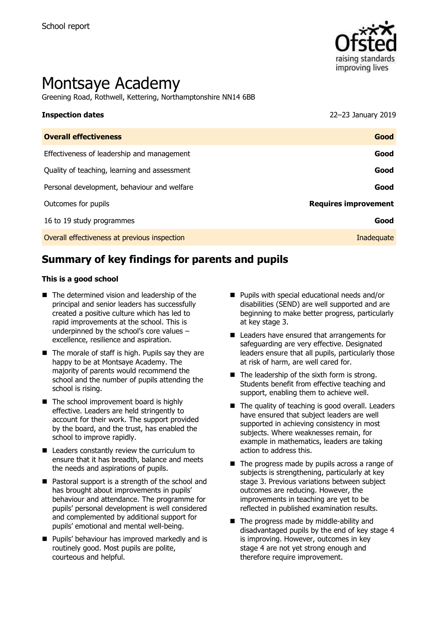

# Montsaye Academy

Greening Road, Rothwell, Kettering, Northamptonshire NN14 6BB

# **Inspection dates** 22–23 January 2019

| Good                        |
|-----------------------------|
| Good                        |
| Good                        |
| Good                        |
| <b>Requires improvement</b> |
| Good                        |
| Inadequate                  |
|                             |

# **Summary of key findings for parents and pupils**

#### **This is a good school**

- The determined vision and leadership of the principal and senior leaders has successfully created a positive culture which has led to rapid improvements at the school. This is underpinned by the school's core values – excellence, resilience and aspiration.
- $\blacksquare$  The morale of staff is high. Pupils say they are happy to be at Montsaye Academy. The majority of parents would recommend the school and the number of pupils attending the school is rising.
- The school improvement board is highly effective. Leaders are held stringently to account for their work. The support provided by the board, and the trust, has enabled the school to improve rapidly.
- Leaders constantly review the curriculum to ensure that it has breadth, balance and meets the needs and aspirations of pupils.
- Pastoral support is a strength of the school and has brought about improvements in pupils' behaviour and attendance. The programme for pupils' personal development is well considered and complemented by additional support for pupils' emotional and mental well-being.
- **Pupils' behaviour has improved markedly and is** routinely good. Most pupils are polite, courteous and helpful.
- Pupils with special educational needs and/or disabilities (SEND) are well supported and are beginning to make better progress, particularly at key stage 3.
- Leaders have ensured that arrangements for safeguarding are very effective. Designated leaders ensure that all pupils, particularly those at risk of harm, are well cared for.
- $\blacksquare$  The leadership of the sixth form is strong. Students benefit from effective teaching and support, enabling them to achieve well.
- The quality of teaching is good overall. Leaders have ensured that subject leaders are well supported in achieving consistency in most subjects. Where weaknesses remain, for example in mathematics, leaders are taking action to address this.
- $\blacksquare$  The progress made by pupils across a range of subjects is strengthening, particularly at key stage 3. Previous variations between subject outcomes are reducing. However, the improvements in teaching are yet to be reflected in published examination results.
- The progress made by middle-ability and disadvantaged pupils by the end of key stage 4 is improving. However, outcomes in key stage 4 are not yet strong enough and therefore require improvement.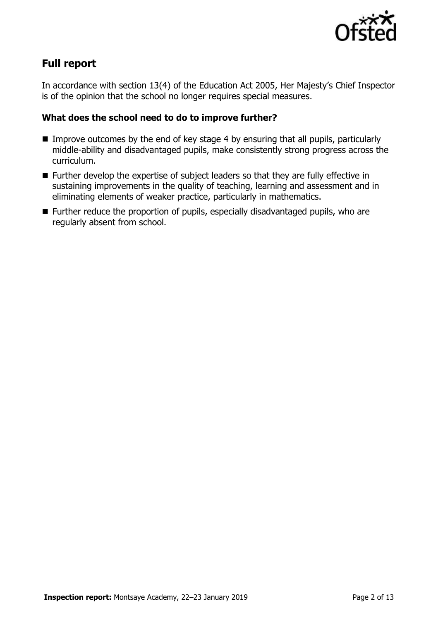

## **Full report**

In accordance with section 13(4) of the Education Act 2005, Her Majesty's Chief Inspector is of the opinion that the school no longer requires special measures.

#### **What does the school need to do to improve further?**

- Improve outcomes by the end of key stage 4 by ensuring that all pupils, particularly middle-ability and disadvantaged pupils, make consistently strong progress across the curriculum.
- Further develop the expertise of subject leaders so that they are fully effective in sustaining improvements in the quality of teaching, learning and assessment and in eliminating elements of weaker practice, particularly in mathematics.
- Further reduce the proportion of pupils, especially disadvantaged pupils, who are regularly absent from school.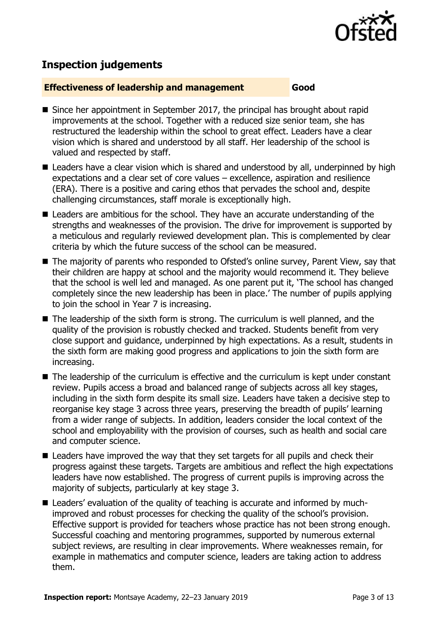

# **Inspection judgements**

#### **Effectiveness of leadership and management Good**

- Since her appointment in September 2017, the principal has brought about rapid improvements at the school. Together with a reduced size senior team, she has restructured the leadership within the school to great effect. Leaders have a clear vision which is shared and understood by all staff. Her leadership of the school is valued and respected by staff.
- Leaders have a clear vision which is shared and understood by all, underpinned by high expectations and a clear set of core values – excellence, aspiration and resilience (ERA). There is a positive and caring ethos that pervades the school and, despite challenging circumstances, staff morale is exceptionally high.
- Leaders are ambitious for the school. They have an accurate understanding of the strengths and weaknesses of the provision. The drive for improvement is supported by a meticulous and regularly reviewed development plan. This is complemented by clear criteria by which the future success of the school can be measured.
- The majority of parents who responded to Ofsted's online survey, Parent View, say that their children are happy at school and the majority would recommend it. They believe that the school is well led and managed. As one parent put it, 'The school has changed completely since the new leadership has been in place.' The number of pupils applying to join the school in Year 7 is increasing.
- The leadership of the sixth form is strong. The curriculum is well planned, and the quality of the provision is robustly checked and tracked. Students benefit from very close support and guidance, underpinned by high expectations. As a result, students in the sixth form are making good progress and applications to join the sixth form are increasing.
- The leadership of the curriculum is effective and the curriculum is kept under constant review. Pupils access a broad and balanced range of subjects across all key stages, including in the sixth form despite its small size. Leaders have taken a decisive step to reorganise key stage 3 across three years, preserving the breadth of pupils' learning from a wider range of subjects. In addition, leaders consider the local context of the school and employability with the provision of courses, such as health and social care and computer science.
- **Leaders have improved the way that they set targets for all pupils and check their** progress against these targets. Targets are ambitious and reflect the high expectations leaders have now established. The progress of current pupils is improving across the majority of subjects, particularly at key stage 3.
- Leaders' evaluation of the quality of teaching is accurate and informed by muchimproved and robust processes for checking the quality of the school's provision. Effective support is provided for teachers whose practice has not been strong enough. Successful coaching and mentoring programmes, supported by numerous external subject reviews, are resulting in clear improvements. Where weaknesses remain, for example in mathematics and computer science, leaders are taking action to address them.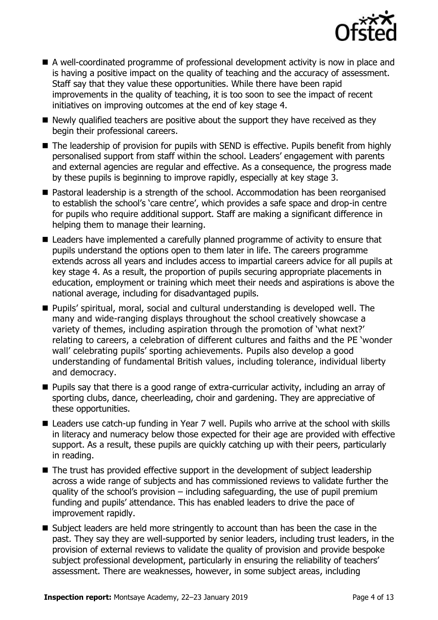

- A well-coordinated programme of professional development activity is now in place and is having a positive impact on the quality of teaching and the accuracy of assessment. Staff say that they value these opportunities. While there have been rapid improvements in the quality of teaching, it is too soon to see the impact of recent initiatives on improving outcomes at the end of key stage 4.
- $\blacksquare$  Newly qualified teachers are positive about the support they have received as they begin their professional careers.
- The leadership of provision for pupils with SEND is effective. Pupils benefit from highly personalised support from staff within the school. Leaders' engagement with parents and external agencies are regular and effective. As a consequence, the progress made by these pupils is beginning to improve rapidly, especially at key stage 3.
- Pastoral leadership is a strength of the school. Accommodation has been reorganised to establish the school's 'care centre', which provides a safe space and drop-in centre for pupils who require additional support. Staff are making a significant difference in helping them to manage their learning.
- Leaders have implemented a carefully planned programme of activity to ensure that pupils understand the options open to them later in life. The careers programme extends across all years and includes access to impartial careers advice for all pupils at key stage 4. As a result, the proportion of pupils securing appropriate placements in education, employment or training which meet their needs and aspirations is above the national average, including for disadvantaged pupils.
- Pupils' spiritual, moral, social and cultural understanding is developed well. The many and wide-ranging displays throughout the school creatively showcase a variety of themes, including aspiration through the promotion of 'what next?' relating to careers, a celebration of different cultures and faiths and the PE 'wonder wall' celebrating pupils' sporting achievements. Pupils also develop a good understanding of fundamental British values, including tolerance, individual liberty and democracy.
- **Pupils say that there is a good range of extra-curricular activity, including an array of** sporting clubs, dance, cheerleading, choir and gardening. They are appreciative of these opportunities.
- Leaders use catch-up funding in Year 7 well. Pupils who arrive at the school with skills in literacy and numeracy below those expected for their age are provided with effective support. As a result, these pupils are quickly catching up with their peers, particularly in reading.
- The trust has provided effective support in the development of subject leadership across a wide range of subjects and has commissioned reviews to validate further the quality of the school's provision – including safeguarding, the use of pupil premium funding and pupils' attendance. This has enabled leaders to drive the pace of improvement rapidly.
- Subject leaders are held more stringently to account than has been the case in the past. They say they are well-supported by senior leaders, including trust leaders, in the provision of external reviews to validate the quality of provision and provide bespoke subject professional development, particularly in ensuring the reliability of teachers' assessment. There are weaknesses, however, in some subject areas, including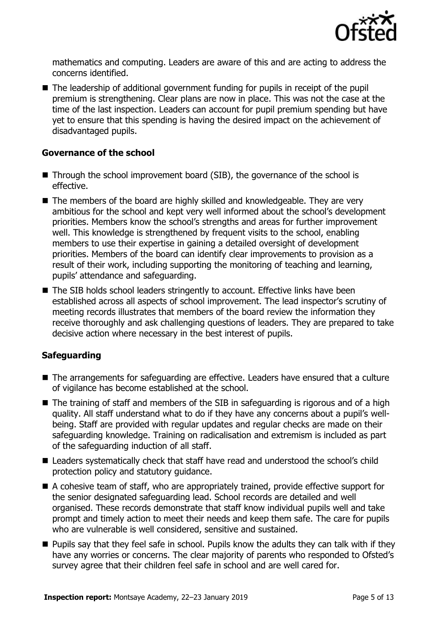

mathematics and computing. Leaders are aware of this and are acting to address the concerns identified.

■ The leadership of additional government funding for pupils in receipt of the pupil premium is strengthening. Clear plans are now in place. This was not the case at the time of the last inspection. Leaders can account for pupil premium spending but have yet to ensure that this spending is having the desired impact on the achievement of disadvantaged pupils.

#### **Governance of the school**

- Through the school improvement board (SIB), the governance of the school is effective.
- The members of the board are highly skilled and knowledgeable. They are very ambitious for the school and kept very well informed about the school's development priorities. Members know the school's strengths and areas for further improvement well. This knowledge is strengthened by frequent visits to the school, enabling members to use their expertise in gaining a detailed oversight of development priorities. Members of the board can identify clear improvements to provision as a result of their work, including supporting the monitoring of teaching and learning, pupils' attendance and safeguarding.
- The SIB holds school leaders stringently to account. Effective links have been established across all aspects of school improvement. The lead inspector's scrutiny of meeting records illustrates that members of the board review the information they receive thoroughly and ask challenging questions of leaders. They are prepared to take decisive action where necessary in the best interest of pupils.

### **Safeguarding**

- The arrangements for safeguarding are effective. Leaders have ensured that a culture of vigilance has become established at the school.
- The training of staff and members of the SIB in safeguarding is rigorous and of a high quality. All staff understand what to do if they have any concerns about a pupil's wellbeing. Staff are provided with regular updates and regular checks are made on their safeguarding knowledge. Training on radicalisation and extremism is included as part of the safeguarding induction of all staff.
- Leaders systematically check that staff have read and understood the school's child protection policy and statutory guidance.
- A cohesive team of staff, who are appropriately trained, provide effective support for the senior designated safeguarding lead. School records are detailed and well organised. These records demonstrate that staff know individual pupils well and take prompt and timely action to meet their needs and keep them safe. The care for pupils who are vulnerable is well considered, sensitive and sustained.
- **Pupils say that they feel safe in school. Pupils know the adults they can talk with if they** have any worries or concerns. The clear majority of parents who responded to Ofsted's survey agree that their children feel safe in school and are well cared for.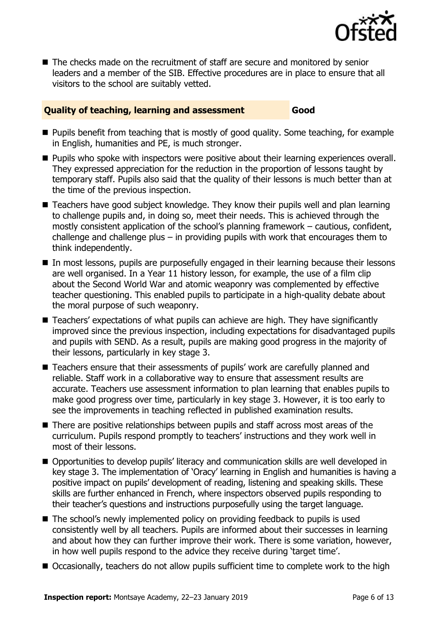

 $\blacksquare$  The checks made on the recruitment of staff are secure and monitored by senior leaders and a member of the SIB. Effective procedures are in place to ensure that all visitors to the school are suitably vetted.

#### **Quality of teaching, learning and assessment Good**

- **Pupils benefit from teaching that is mostly of good quality. Some teaching, for example** in English, humanities and PE, is much stronger.
- **Pupils who spoke with inspectors were positive about their learning experiences overall.** They expressed appreciation for the reduction in the proportion of lessons taught by temporary staff. Pupils also said that the quality of their lessons is much better than at the time of the previous inspection.
- Teachers have good subject knowledge. They know their pupils well and plan learning to challenge pupils and, in doing so, meet their needs. This is achieved through the mostly consistent application of the school's planning framework – cautious, confident, challenge and challenge plus – in providing pupils with work that encourages them to think independently.
- In most lessons, pupils are purposefully engaged in their learning because their lessons are well organised. In a Year 11 history lesson, for example, the use of a film clip about the Second World War and atomic weaponry was complemented by effective teacher questioning. This enabled pupils to participate in a high-quality debate about the moral purpose of such weaponry.
- Teachers' expectations of what pupils can achieve are high. They have significantly improved since the previous inspection, including expectations for disadvantaged pupils and pupils with SEND. As a result, pupils are making good progress in the majority of their lessons, particularly in key stage 3.
- Teachers ensure that their assessments of pupils' work are carefully planned and reliable. Staff work in a collaborative way to ensure that assessment results are accurate. Teachers use assessment information to plan learning that enables pupils to make good progress over time, particularly in key stage 3. However, it is too early to see the improvements in teaching reflected in published examination results.
- There are positive relationships between pupils and staff across most areas of the curriculum. Pupils respond promptly to teachers' instructions and they work well in most of their lessons.
- $\blacksquare$  Opportunities to develop pupils' literacy and communication skills are well developed in key stage 3. The implementation of 'Oracy' learning in English and humanities is having a positive impact on pupils' development of reading, listening and speaking skills. These skills are further enhanced in French, where inspectors observed pupils responding to their teacher's questions and instructions purposefully using the target language.
- The school's newly implemented policy on providing feedback to pupils is used consistently well by all teachers. Pupils are informed about their successes in learning and about how they can further improve their work. There is some variation, however, in how well pupils respond to the advice they receive during 'target time'.
- Occasionally, teachers do not allow pupils sufficient time to complete work to the high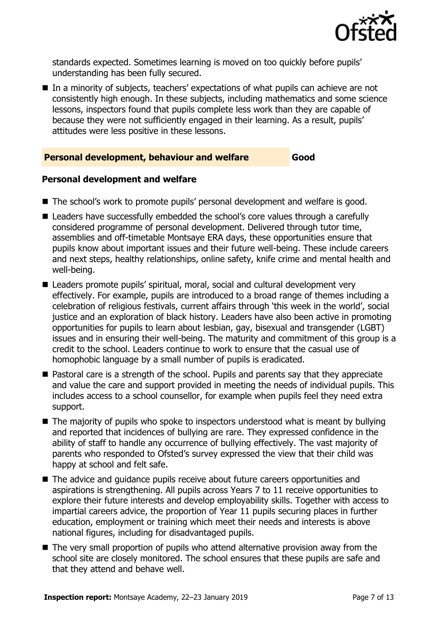

standards expected. Sometimes learning is moved on too quickly before pupils' understanding has been fully secured.

■ In a minority of subjects, teachers' expectations of what pupils can achieve are not consistently high enough. In these subjects, including mathematics and some science lessons, inspectors found that pupils complete less work than they are capable of because they were not sufficiently engaged in their learning. As a result, pupils' attitudes were less positive in these lessons.

#### **Personal development, behaviour and welfare Good**

#### **Personal development and welfare**

- The school's work to promote pupils' personal development and welfare is good.
- Leaders have successfully embedded the school's core values through a carefully considered programme of personal development. Delivered through tutor time, assemblies and off-timetable Montsaye ERA days, these opportunities ensure that pupils know about important issues and their future well-being. These include careers and next steps, healthy relationships, online safety, knife crime and mental health and well-being.
- Leaders promote pupils' spiritual, moral, social and cultural development very effectively. For example, pupils are introduced to a broad range of themes including a celebration of religious festivals, current affairs through 'this week in the world', social justice and an exploration of black history. Leaders have also been active in promoting opportunities for pupils to learn about lesbian, gay, bisexual and transgender (LGBT) issues and in ensuring their well-being. The maturity and commitment of this group is a credit to the school. Leaders continue to work to ensure that the casual use of homophobic language by a small number of pupils is eradicated.
- Pastoral care is a strength of the school. Pupils and parents say that they appreciate and value the care and support provided in meeting the needs of individual pupils. This includes access to a school counsellor, for example when pupils feel they need extra support.
- $\blacksquare$  The majority of pupils who spoke to inspectors understood what is meant by bullying and reported that incidences of bullying are rare. They expressed confidence in the ability of staff to handle any occurrence of bullying effectively. The vast majority of parents who responded to Ofsted's survey expressed the view that their child was happy at school and felt safe.
- The advice and quidance pupils receive about future careers opportunities and aspirations is strengthening. All pupils across Years 7 to 11 receive opportunities to explore their future interests and develop employability skills. Together with access to impartial careers advice, the proportion of Year 11 pupils securing places in further education, employment or training which meet their needs and interests is above national figures, including for disadvantaged pupils.
- The very small proportion of pupils who attend alternative provision away from the school site are closely monitored. The school ensures that these pupils are safe and that they attend and behave well.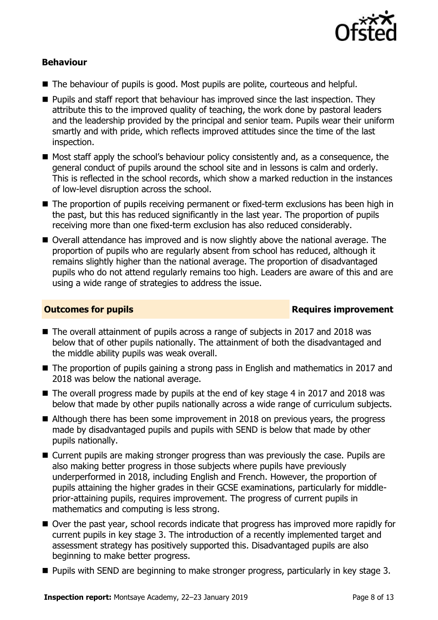

#### **Behaviour**

- The behaviour of pupils is good. Most pupils are polite, courteous and helpful.
- **Pupils and staff report that behaviour has improved since the last inspection. They** attribute this to the improved quality of teaching, the work done by pastoral leaders and the leadership provided by the principal and senior team. Pupils wear their uniform smartly and with pride, which reflects improved attitudes since the time of the last inspection.
- Most staff apply the school's behaviour policy consistently and, as a consequence, the general conduct of pupils around the school site and in lessons is calm and orderly. This is reflected in the school records, which show a marked reduction in the instances of low-level disruption across the school.
- The proportion of pupils receiving permanent or fixed-term exclusions has been high in the past, but this has reduced significantly in the last year. The proportion of pupils receiving more than one fixed-term exclusion has also reduced considerably.
- Overall attendance has improved and is now slightly above the national average. The proportion of pupils who are regularly absent from school has reduced, although it remains slightly higher than the national average. The proportion of disadvantaged pupils who do not attend regularly remains too high. Leaders are aware of this and are using a wide range of strategies to address the issue.

#### **Outcomes for pupils Requires improvement**

- The overall attainment of pupils across a range of subjects in 2017 and 2018 was below that of other pupils nationally. The attainment of both the disadvantaged and the middle ability pupils was weak overall.
- The proportion of pupils gaining a strong pass in English and mathematics in 2017 and 2018 was below the national average.
- The overall progress made by pupils at the end of key stage 4 in 2017 and 2018 was below that made by other pupils nationally across a wide range of curriculum subjects.
- Although there has been some improvement in 2018 on previous vears, the progress made by disadvantaged pupils and pupils with SEND is below that made by other pupils nationally.
- Current pupils are making stronger progress than was previously the case. Pupils are also making better progress in those subjects where pupils have previously underperformed in 2018, including English and French. However, the proportion of pupils attaining the higher grades in their GCSE examinations, particularly for middleprior-attaining pupils, requires improvement. The progress of current pupils in mathematics and computing is less strong.
- Over the past year, school records indicate that progress has improved more rapidly for current pupils in key stage 3. The introduction of a recently implemented target and assessment strategy has positively supported this. Disadvantaged pupils are also beginning to make better progress.
- **Pupils with SEND are beginning to make stronger progress, particularly in key stage 3.**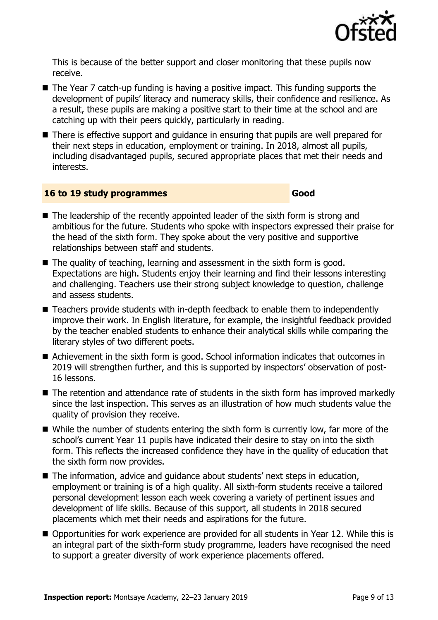

This is because of the better support and closer monitoring that these pupils now receive.

- The Year 7 catch-up funding is having a positive impact. This funding supports the development of pupils' literacy and numeracy skills, their confidence and resilience. As a result, these pupils are making a positive start to their time at the school and are catching up with their peers quickly, particularly in reading.
- There is effective support and quidance in ensuring that pupils are well prepared for their next steps in education, employment or training. In 2018, almost all pupils, including disadvantaged pupils, secured appropriate places that met their needs and interests.

#### **16 to 19 study programmes Good**

- $\blacksquare$  The leadership of the recently appointed leader of the sixth form is strong and ambitious for the future. Students who spoke with inspectors expressed their praise for the head of the sixth form. They spoke about the very positive and supportive relationships between staff and students.
- The quality of teaching, learning and assessment in the sixth form is good. Expectations are high. Students enjoy their learning and find their lessons interesting and challenging. Teachers use their strong subject knowledge to question, challenge and assess students.
- Teachers provide students with in-depth feedback to enable them to independently improve their work. In English literature, for example, the insightful feedback provided by the teacher enabled students to enhance their analytical skills while comparing the literary styles of two different poets.
- Achievement in the sixth form is good. School information indicates that outcomes in 2019 will strengthen further, and this is supported by inspectors' observation of post-16 lessons.
- The retention and attendance rate of students in the sixth form has improved markedly since the last inspection. This serves as an illustration of how much students value the quality of provision they receive.
- While the number of students entering the sixth form is currently low, far more of the school's current Year 11 pupils have indicated their desire to stay on into the sixth form. This reflects the increased confidence they have in the quality of education that the sixth form now provides.
- The information, advice and quidance about students' next steps in education, employment or training is of a high quality. All sixth-form students receive a tailored personal development lesson each week covering a variety of pertinent issues and development of life skills. Because of this support, all students in 2018 secured placements which met their needs and aspirations for the future.
- Opportunities for work experience are provided for all students in Year 12. While this is an integral part of the sixth-form study programme, leaders have recognised the need to support a greater diversity of work experience placements offered.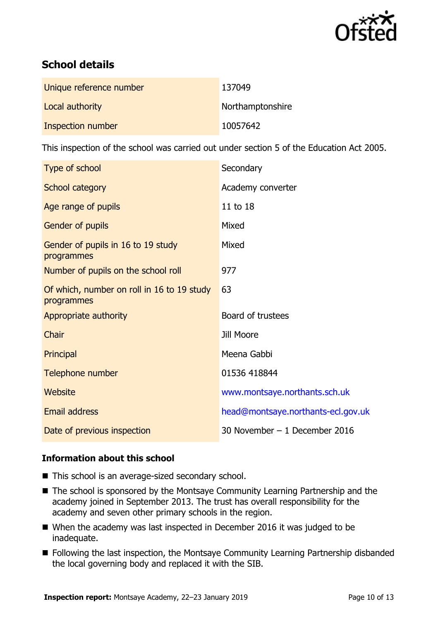

# **School details**

| Unique reference number | 137049           |
|-------------------------|------------------|
| Local authority         | Northamptonshire |
| Inspection number       | 10057642         |

This inspection of the school was carried out under section 5 of the Education Act 2005.

| Type of school                                           | Secondary                          |
|----------------------------------------------------------|------------------------------------|
| School category                                          | Academy converter                  |
| Age range of pupils                                      | 11 to 18                           |
| Gender of pupils                                         | Mixed                              |
| Gender of pupils in 16 to 19 study<br>programmes         | Mixed                              |
| Number of pupils on the school roll                      | 977                                |
| Of which, number on roll in 16 to 19 study<br>programmes | 63                                 |
| Appropriate authority                                    | Board of trustees                  |
| Chair                                                    | Jill Moore                         |
| Principal                                                | Meena Gabbi                        |
| Telephone number                                         | 01536 418844                       |
| <b>Website</b>                                           | www.montsaye.northants.sch.uk      |
| <b>Email address</b>                                     | head@montsaye.northants-ecl.gov.uk |
| Date of previous inspection                              | 30 November - 1 December 2016      |

### **Information about this school**

- This school is an average-sized secondary school.
- The school is sponsored by the Montsaye Community Learning Partnership and the academy joined in September 2013. The trust has overall responsibility for the academy and seven other primary schools in the region.
- When the academy was last inspected in December 2016 it was judged to be inadequate.
- Following the last inspection, the Montsaye Community Learning Partnership disbanded the local governing body and replaced it with the SIB.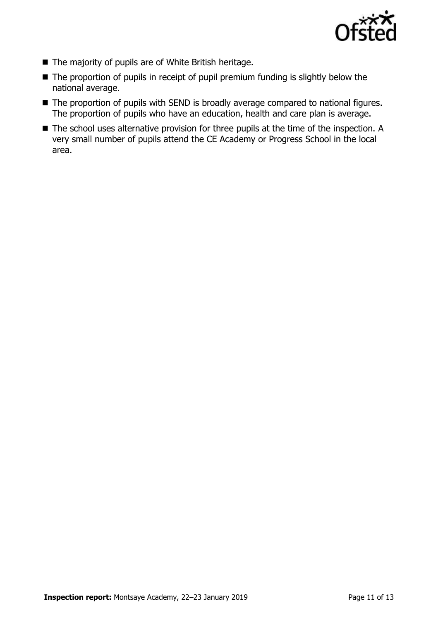

- The majority of pupils are of White British heritage.
- The proportion of pupils in receipt of pupil premium funding is slightly below the national average.
- The proportion of pupils with SEND is broadly average compared to national figures. The proportion of pupils who have an education, health and care plan is average.
- The school uses alternative provision for three pupils at the time of the inspection. A very small number of pupils attend the CE Academy or Progress School in the local area.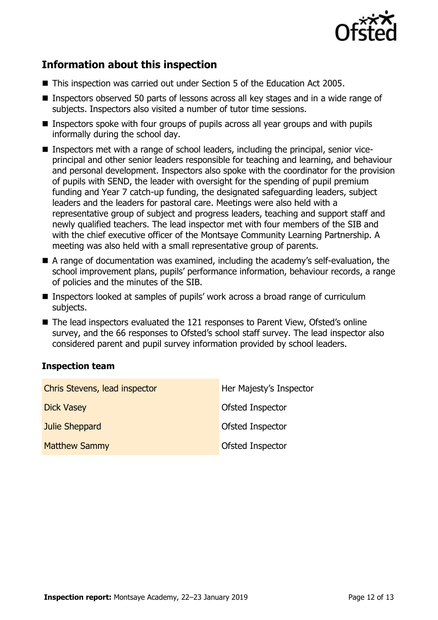

# **Information about this inspection**

- This inspection was carried out under Section 5 of the Education Act 2005.
- Inspectors observed 50 parts of lessons across all key stages and in a wide range of subjects. Inspectors also visited a number of tutor time sessions.
- Inspectors spoke with four groups of pupils across all year groups and with pupils informally during the school day.
- Inspectors met with a range of school leaders, including the principal, senior viceprincipal and other senior leaders responsible for teaching and learning, and behaviour and personal development. Inspectors also spoke with the coordinator for the provision of pupils with SEND, the leader with oversight for the spending of pupil premium funding and Year 7 catch-up funding, the designated safeguarding leaders, subject leaders and the leaders for pastoral care. Meetings were also held with a representative group of subject and progress leaders, teaching and support staff and newly qualified teachers. The lead inspector met with four members of the SIB and with the chief executive officer of the Montsaye Community Learning Partnership. A meeting was also held with a small representative group of parents.
- A range of documentation was examined, including the academy's self-evaluation, the school improvement plans, pupils' performance information, behaviour records, a range of policies and the minutes of the SIB.
- Inspectors looked at samples of pupils' work across a broad range of curriculum subjects.
- The lead inspectors evaluated the 121 responses to Parent View, Ofsted's online survey, and the 66 responses to Ofsted's school staff survey. The lead inspector also considered parent and pupil survey information provided by school leaders.

### **Inspection team**

| Chris Stevens, lead inspector | Her Majesty's Inspector |
|-------------------------------|-------------------------|
| <b>Dick Vasey</b>             | <b>Ofsted Inspector</b> |
| Julie Sheppard                | Ofsted Inspector        |
| <b>Matthew Sammy</b>          | Ofsted Inspector        |